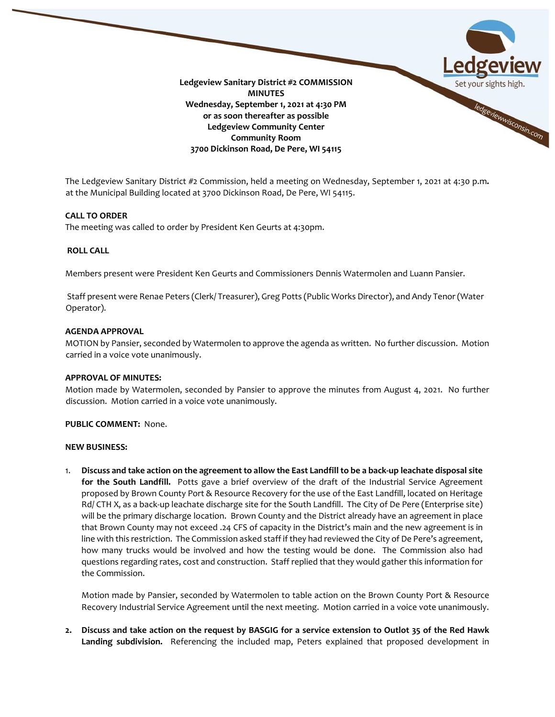

The Ledgeview Sanitary District #2 Commission, held a meeting on Wednesday, September 1, 2021 at 4:30 p.m**.** at the Municipal Building located at 3700 Dickinson Road, De Pere, WI 54115.

### **CALL TO ORDER**

The meeting was called to order by President Ken Geurts at 4:30pm.

# **ROLL CALL**

Members present were President Ken Geurts and Commissioners Dennis Watermolen and Luann Pansier.

Staff present were Renae Peters (Clerk/ Treasurer), Greg Potts (Public Works Director), and Andy Tenor (Water Operator).

#### **AGENDA APPROVAL**

MOTION by Pansier, seconded by Watermolen to approve the agenda as written. No further discussion. Motion carried in a voice vote unanimously.

#### **APPROVAL OF MINUTES:**

Motion made by Watermolen, seconded by Pansier to approve the minutes from August 4, 2021. No further discussion. Motion carried in a voice vote unanimously.

### **PUBLIC COMMENT:** None.

#### **NEW BUSINESS:**

1. **Discuss and take action on the agreement to allow the East Landfill to be a back-up leachate disposal site for the South Landfill.** Potts gave a brief overview of the draft of the Industrial Service Agreement proposed by Brown County Port & Resource Recovery for the use of the East Landfill, located on Heritage Rd/ CTH X, as a back-up leachate discharge site for the South Landfill. The City of De Pere (Enterprise site) will be the primary discharge location. Brown County and the District already have an agreement in place that Brown County may not exceed .24 CFS of capacity in the District's main and the new agreement is in line with this restriction. The Commission asked staff if they had reviewed the City of De Pere's agreement, how many trucks would be involved and how the testing would be done. The Commission also had questions regarding rates, cost and construction. Staff replied that they would gather this information for the Commission.

Motion made by Pansier, seconded by Watermolen to table action on the Brown County Port & Resource Recovery Industrial Service Agreement until the next meeting. Motion carried in a voice vote unanimously.

**2. Discuss and take action on the request by BASGIG for a service extension to Outlot 35 of the Red Hawk Landing subdivision.** Referencing the included map, Peters explained that proposed development in